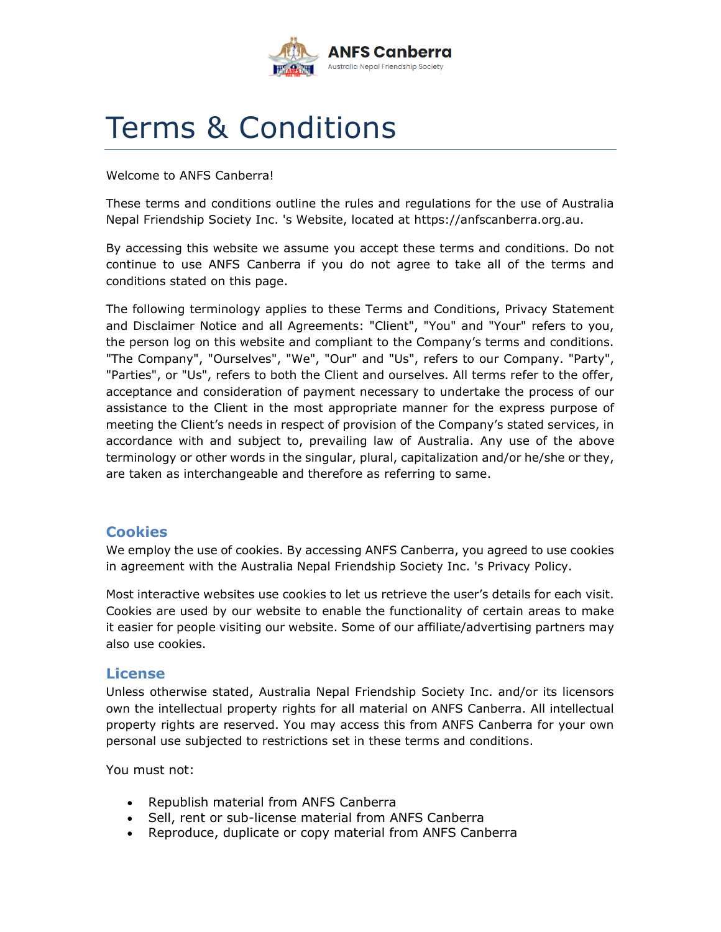

# Terms & Conditions

Welcome to ANFS Canberra!

These terms and conditions outline the rules and regulations for the use of Australia Nepal Friendship Society Inc. 's Website, located at https://anfscanberra.org.au.

By accessing this website we assume you accept these terms and conditions. Do not continue to use ANFS Canberra if you do not agree to take all of the terms and conditions stated on this page.

The following terminology applies to these Terms and Conditions, Privacy Statement and Disclaimer Notice and all Agreements: "Client", "You" and "Your" refers to you, the person log on this website and compliant to the Company's terms and conditions. "The Company", "Ourselves", "We", "Our" and "Us", refers to our Company. "Party", "Parties", or "Us", refers to both the Client and ourselves. All terms refer to the offer, acceptance and consideration of payment necessary to undertake the process of our assistance to the Client in the most appropriate manner for the express purpose of meeting the Client's needs in respect of provision of the Company's stated services, in accordance with and subject to, prevailing law of Australia. Any use of the above terminology or other words in the singular, plural, capitalization and/or he/she or they, are taken as interchangeable and therefore as referring to same.

# **Cookies**

We employ the use of cookies. By accessing ANFS Canberra, you agreed to use cookies in agreement with the Australia Nepal Friendship Society Inc. 's Privacy Policy.

Most interactive websites use cookies to let us retrieve the user's details for each visit. Cookies are used by our website to enable the functionality of certain areas to make it easier for people visiting our website. Some of our affiliate/advertising partners may also use cookies.

## **License**

Unless otherwise stated, Australia Nepal Friendship Society Inc. and/or its licensors own the intellectual property rights for all material on ANFS Canberra. All intellectual property rights are reserved. You may access this from ANFS Canberra for your own personal use subjected to restrictions set in these terms and conditions.

You must not:

- Republish material from ANFS Canberra
- Sell, rent or sub-license material from ANFS Canberra
- Reproduce, duplicate or copy material from ANFS Canberra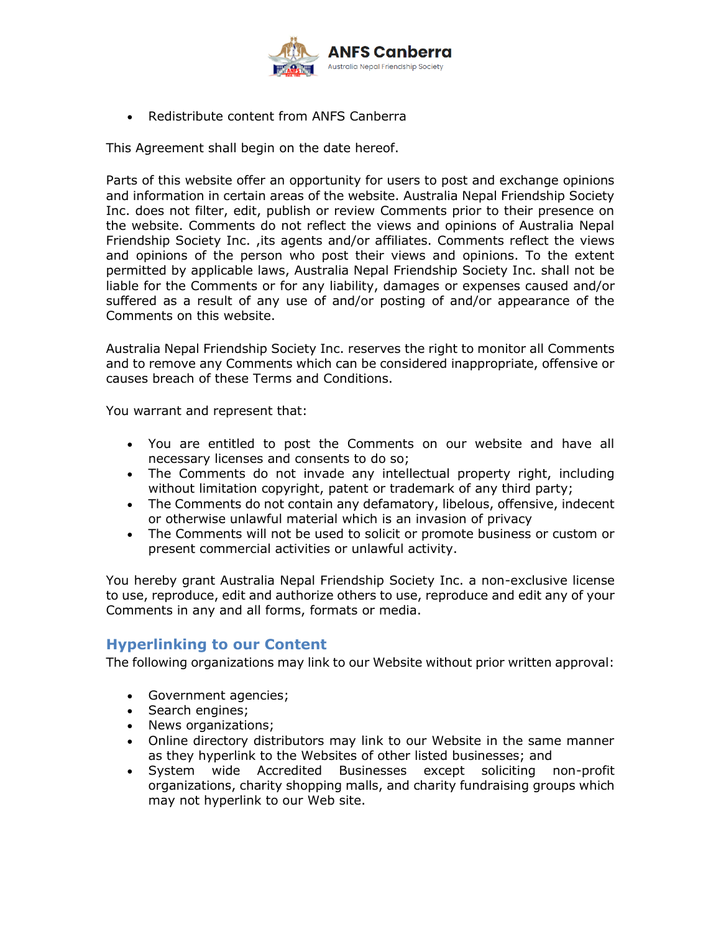

• Redistribute content from ANFS Canberra

This Agreement shall begin on the date hereof.

Parts of this website offer an opportunity for users to post and exchange opinions and information in certain areas of the website. Australia Nepal Friendship Society Inc. does not filter, edit, publish or review Comments prior to their presence on the website. Comments do not reflect the views and opinions of Australia Nepal Friendship Society Inc. ,its agents and/or affiliates. Comments reflect the views and opinions of the person who post their views and opinions. To the extent permitted by applicable laws, Australia Nepal Friendship Society Inc. shall not be liable for the Comments or for any liability, damages or expenses caused and/or suffered as a result of any use of and/or posting of and/or appearance of the Comments on this website.

Australia Nepal Friendship Society Inc. reserves the right to monitor all Comments and to remove any Comments which can be considered inappropriate, offensive or causes breach of these Terms and Conditions.

You warrant and represent that:

- You are entitled to post the Comments on our website and have all necessary licenses and consents to do so;
- The Comments do not invade any intellectual property right, including without limitation copyright, patent or trademark of any third party;
- The Comments do not contain any defamatory, libelous, offensive, indecent or otherwise unlawful material which is an invasion of privacy
- The Comments will not be used to solicit or promote business or custom or present commercial activities or unlawful activity.

You hereby grant Australia Nepal Friendship Society Inc. a non-exclusive license to use, reproduce, edit and authorize others to use, reproduce and edit any of your Comments in any and all forms, formats or media.

# **Hyperlinking to our Content**

The following organizations may link to our Website without prior written approval:

- Government agencies;
- Search engines;
- News organizations;
- Online directory distributors may link to our Website in the same manner as they hyperlink to the Websites of other listed businesses; and
- System wide Accredited Businesses except soliciting non-profit organizations, charity shopping malls, and charity fundraising groups which may not hyperlink to our Web site.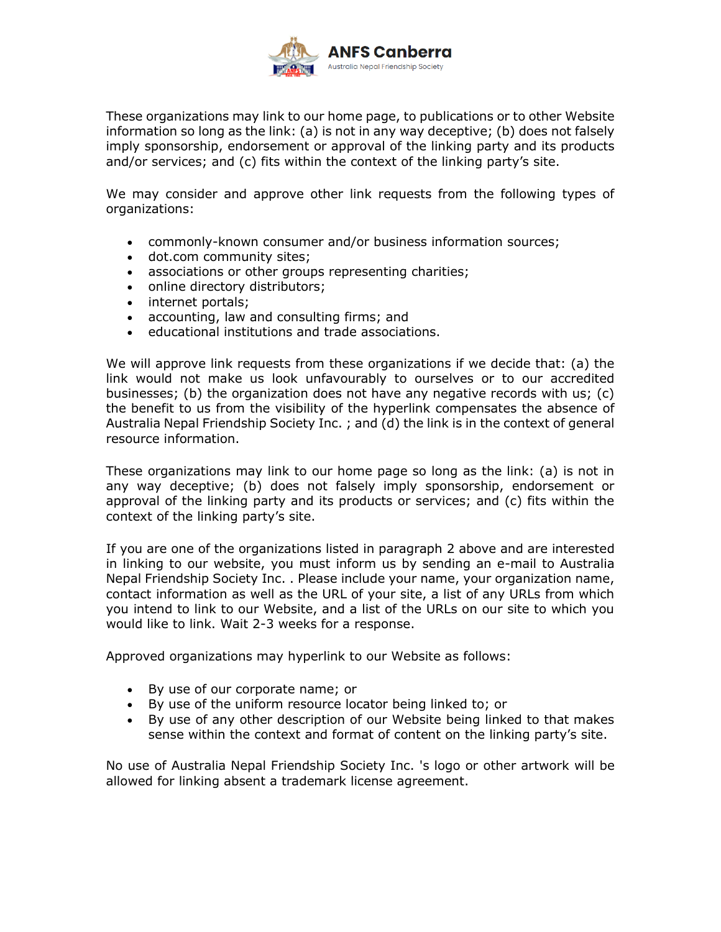

These organizations may link to our home page, to publications or to other Website information so long as the link: (a) is not in any way deceptive; (b) does not falsely imply sponsorship, endorsement or approval of the linking party and its products and/or services; and (c) fits within the context of the linking party's site.

We may consider and approve other link requests from the following types of organizations:

- commonly-known consumer and/or business information sources;
- dot.com community sites;
- associations or other groups representing charities;
- online directory distributors;
- internet portals;
- accounting, law and consulting firms; and
- educational institutions and trade associations.

We will approve link requests from these organizations if we decide that: (a) the link would not make us look unfavourably to ourselves or to our accredited businesses; (b) the organization does not have any negative records with us; (c) the benefit to us from the visibility of the hyperlink compensates the absence of Australia Nepal Friendship Society Inc. ; and (d) the link is in the context of general resource information.

These organizations may link to our home page so long as the link: (a) is not in any way deceptive; (b) does not falsely imply sponsorship, endorsement or approval of the linking party and its products or services; and (c) fits within the context of the linking party's site.

If you are one of the organizations listed in paragraph 2 above and are interested in linking to our website, you must inform us by sending an e-mail to Australia Nepal Friendship Society Inc. . Please include your name, your organization name, contact information as well as the URL of your site, a list of any URLs from which you intend to link to our Website, and a list of the URLs on our site to which you would like to link. Wait 2-3 weeks for a response.

Approved organizations may hyperlink to our Website as follows:

- By use of our corporate name; or
- By use of the uniform resource locator being linked to; or
- By use of any other description of our Website being linked to that makes sense within the context and format of content on the linking party's site.

No use of Australia Nepal Friendship Society Inc. 's logo or other artwork will be allowed for linking absent a trademark license agreement.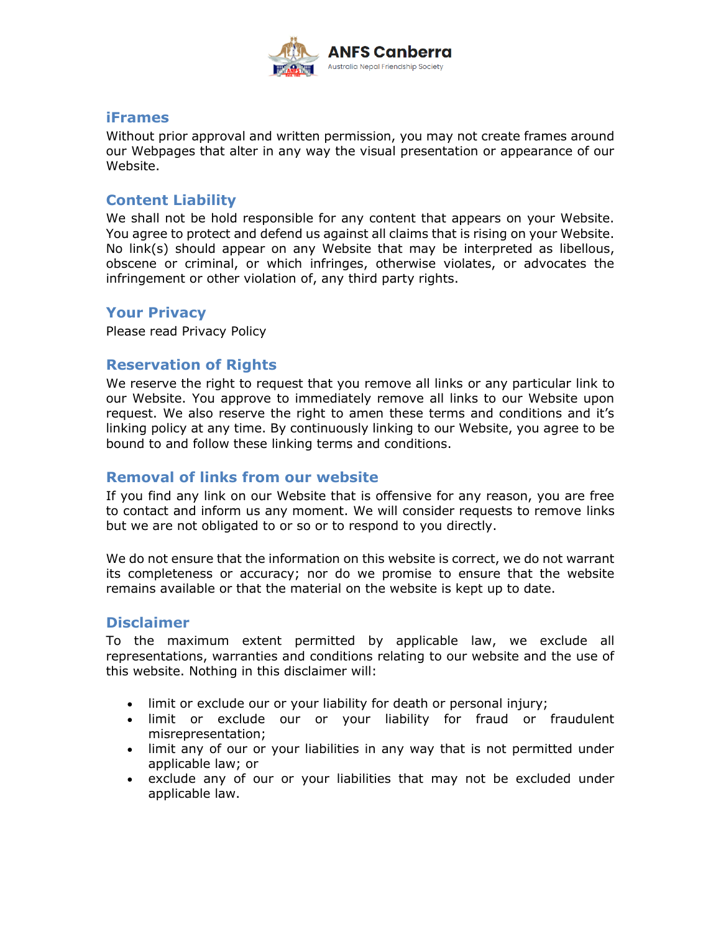

#### **iFrames**

Without prior approval and written permission, you may not create frames around our Webpages that alter in any way the visual presentation or appearance of our Website.

## **Content Liability**

We shall not be hold responsible for any content that appears on your Website. You agree to protect and defend us against all claims that is rising on your Website. No link(s) should appear on any Website that may be interpreted as libellous, obscene or criminal, or which infringes, otherwise violates, or advocates the infringement or other violation of, any third party rights.

## **Your Privacy**

Please read Privacy Policy

## **Reservation of Rights**

We reserve the right to request that you remove all links or any particular link to our Website. You approve to immediately remove all links to our Website upon request. We also reserve the right to amen these terms and conditions and it's linking policy at any time. By continuously linking to our Website, you agree to be bound to and follow these linking terms and conditions.

## **Removal of links from our website**

If you find any link on our Website that is offensive for any reason, you are free to contact and inform us any moment. We will consider requests to remove links but we are not obligated to or so or to respond to you directly.

We do not ensure that the information on this website is correct, we do not warrant its completeness or accuracy; nor do we promise to ensure that the website remains available or that the material on the website is kept up to date.

## **Disclaimer**

To the maximum extent permitted by applicable law, we exclude all representations, warranties and conditions relating to our website and the use of this website. Nothing in this disclaimer will:

- limit or exclude our or your liability for death or personal injury;
- limit or exclude our or your liability for fraud or fraudulent misrepresentation;
- limit any of our or your liabilities in any way that is not permitted under applicable law; or
- exclude any of our or your liabilities that may not be excluded under applicable law.